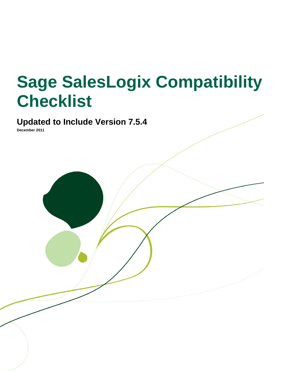# **Sage SalesLogix Compatibility Checklist**

## **Updated to Include Version 7.5.4**

**December 2011**

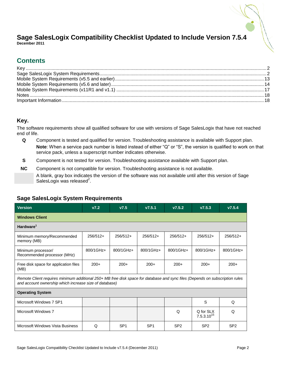#### **Sage SalesLogix Compatibility Checklist Updated to Include Version 7.5.4 December 2011**

## **Contents**

## <span id="page-1-0"></span>**Key.**

The software requirements show all qualified software for use with versions of Sage SalesLogix that have not reached end of life.

- **Q** Component is tested and qualified for version. Troubleshooting assistance is available with Support plan. **Note**: When a service pack number is listed instead of either "Q" or "S", the version is qualified to work on that service pack, unless a superscript number indicates otherwise.
- **S** Component is not tested for version. Troubleshooting assistance available with Support plan.
- **NC** Component is not compatible for version. Troubleshooting assistance is not available. A blank, gray box indicates the version of the software was not available until after this version of Sage SalesLogix was released $2$ .

| <b>Version</b>                                                                                                                                                                         | V7.2       | V7.5            | V7.5.1          | V7.5.2          | V7.5.3                       | V7.5.4          |
|----------------------------------------------------------------------------------------------------------------------------------------------------------------------------------------|------------|-----------------|-----------------|-----------------|------------------------------|-----------------|
| <b>Windows Client</b>                                                                                                                                                                  |            |                 |                 |                 |                              |                 |
| Hardware <sup>1</sup>                                                                                                                                                                  |            |                 |                 |                 |                              |                 |
| Minimum memory/Recommended<br>memory (MB)                                                                                                                                              | $256/512+$ | $256/512+$      | $256/512+$      | $256/512+$      | $256/512+$                   | $256/512+$      |
| Minimum processor/<br>Recommended processor (MHz)                                                                                                                                      | 800/1GHz+  | 800/1GHz+       | 800/1GHz+       | 800/1GHz+       | 800/1GHz+                    | 800/1GHz+       |
| Free disk space for application files<br>(MB)                                                                                                                                          | $200+$     | $200+$          | $200+$          | $200+$          | $200+$                       | $200+$          |
| Remote Client requires minimum additional 250+ MB free disk space for database and sync files (Depends on subscription rules<br>and account ownership which increase size of database) |            |                 |                 |                 |                              |                 |
| <b>Operating System</b>                                                                                                                                                                |            |                 |                 |                 |                              |                 |
| Microsoft Windows 7 SP1                                                                                                                                                                |            |                 |                 |                 | S                            | Q               |
| Microsoft Windows 7                                                                                                                                                                    |            |                 |                 | Q               | Q for SLX<br>$7.5.3.10^{15}$ | Q               |
| Microsoft Windows Vista Business                                                                                                                                                       | Q          | SP <sub>1</sub> | SP <sub>1</sub> | SP <sub>2</sub> | SP <sub>2</sub>              | SP <sub>2</sub> |

## <span id="page-1-1"></span>**Sage SalesLogix System Requirements**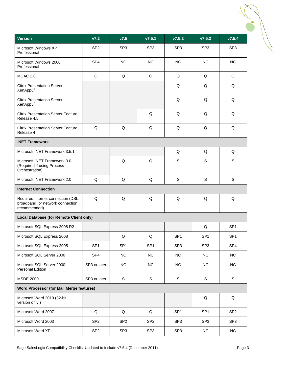| <b>Version</b>                                                                         | V7.2            | V7.5            | V7.5.1          | V7.5.2          | V7.5.3          | V7.5.4          |
|----------------------------------------------------------------------------------------|-----------------|-----------------|-----------------|-----------------|-----------------|-----------------|
| Microsoft Windows XP<br>Professional                                                   | SP <sub>2</sub> | SP <sub>3</sub> | SP <sub>3</sub> | SP <sub>3</sub> | SP <sub>3</sub> | SP <sub>3</sub> |
| Microsoft Windows 2000<br>Professional                                                 | SP <sub>4</sub> | <b>NC</b>       | <b>NC</b>       | <b>NC</b>       | <b>NC</b>       | <b>NC</b>       |
| MDAC 2.8                                                                               | Q               | Q               | Q               | Q               | Q               | Q               |
| <b>Citrix Presentation Server</b><br>XenApp6 <sup>2</sup>                              |                 |                 |                 | Q               | Q               | Q               |
| <b>Citrix Presentation Server</b><br>XenApp5 <sup>2</sup>                              |                 |                 |                 | Q               | Q               | Q               |
| <b>Citrix Presentation Server Feature</b><br>Release 4.5                               |                 |                 | Q               | Q               | Q               | Q               |
| <b>Citrix Presentation Server Feature</b><br>Release 4                                 | Q               | Q               | Q               | Q               | Q               | Q               |
| <b>NET Framework</b>                                                                   |                 |                 |                 |                 |                 |                 |
| Microsoft .NET Framework 3.5.1                                                         |                 |                 |                 | Q               | Q               | Q               |
| Microsoft .NET Framework 3.0<br>(Required if using Process<br>Orchestration)           |                 | Q               | Q               | $\mathbf S$     | S               | S               |
| Microsoft .NET Framework 2.0                                                           | Q               | Q               | Q               | S               | S               | S               |
| <b>Internet Connection</b>                                                             |                 |                 |                 |                 |                 |                 |
| Requires Internet connection (DSL,<br>broadband, or network connection<br>recommended) | Q               | Q               | Q               | Q               | Q               | Q               |
| <b>Local Database (for Remote Client only)</b>                                         |                 |                 |                 |                 |                 |                 |
| Microsoft SQL Express 2008 R2                                                          |                 |                 |                 |                 | Q               | SP <sub>1</sub> |
| Microsoft SQL Express 2008                                                             |                 | Q               | Q               | SP <sub>1</sub> | SP <sub>1</sub> | SP <sub>1</sub> |
| Microsoft SQL Express 2005                                                             | SP <sub>1</sub> | SP <sub>1</sub> | SP <sub>1</sub> | SP <sub>3</sub> | SP <sub>3</sub> | SP <sub>4</sub> |
| Microsoft SQL Server 2000                                                              | SP <sub>4</sub> | NC              | NC              | NC              | NC              | <b>NC</b>       |
| Microsoft SQL Server 2000<br>Personal Edition                                          | SP3 or later    | <b>NC</b>       | NC              | <b>NC</b>       | <b>NC</b>       | <b>NC</b>       |
| <b>MSDE 2000</b>                                                                       | SP3 or later    | $\mathbb S$     | S               | $\mathsf S$     | S               | S               |
| <b>Word Processor (for Mail Merge features)</b>                                        |                 |                 |                 |                 |                 |                 |
| Microsoft Word 2010 (32-bit<br>version only.)                                          |                 |                 |                 |                 | Q               | Q               |
| Microsoft Word 2007                                                                    | Q               | Q               | Q               | SP <sub>1</sub> | SP <sub>1</sub> | SP <sub>2</sub> |
| Microsoft Word 2003                                                                    | SP <sub>2</sub> | SP <sub>2</sub> | SP <sub>2</sub> | SP <sub>3</sub> | SP <sub>3</sub> | SP <sub>3</sub> |
| Microsoft Word XP                                                                      | SP <sub>2</sub> | SP <sub>3</sub> | SP <sub>3</sub> | SP <sub>3</sub> | NC              | NC              |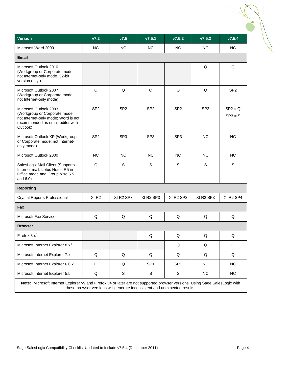| V7.2             | V7.5                              | V7.5.1                            | V7.5.2                            | V7.5.3                            | V7.5.4                            |
|------------------|-----------------------------------|-----------------------------------|-----------------------------------|-----------------------------------|-----------------------------------|
| <b>NC</b>        | <b>NC</b>                         | NC.                               | <b>NC</b>                         | NC.                               | NC.                               |
|                  |                                   |                                   |                                   |                                   |                                   |
|                  |                                   |                                   |                                   | Q                                 | Q                                 |
| Q                | Q                                 | Q                                 | Q                                 | Q                                 | SP <sub>2</sub>                   |
| SP <sub>2</sub>  | SP <sub>2</sub>                   | SP <sub>2</sub>                   | SP <sub>2</sub>                   | SP <sub>2</sub>                   | $SP2 = Q$<br>$SP3 = S$            |
| SP <sub>2</sub>  | SP <sub>3</sub>                   | SP <sub>3</sub>                   | SP <sub>3</sub>                   | <b>NC</b>                         | <b>NC</b>                         |
| <b>NC</b>        | <b>NC</b>                         | NC.                               | <b>NC</b>                         | <b>NC</b>                         | NC.                               |
| Q                | S                                 | S                                 | S                                 | S                                 | S                                 |
|                  |                                   |                                   |                                   |                                   |                                   |
| XI <sub>R2</sub> | XI R <sub>2</sub> SP <sub>3</sub> | XI R <sub>2</sub> SP <sub>3</sub> | XI R <sub>2</sub> SP <sub>3</sub> | XI R <sub>2</sub> SP <sub>3</sub> | XI R <sub>2</sub> SP <sub>4</sub> |
|                  |                                   |                                   |                                   |                                   |                                   |
| Q                | Q                                 | Q                                 | Q                                 | Q                                 | Q                                 |
|                  |                                   |                                   |                                   |                                   |                                   |
|                  |                                   | Q                                 | Q                                 | $\mathsf Q$                       | $\sf Q$                           |
|                  |                                   |                                   | Q                                 | $\mathsf Q$                       | Q                                 |
| Q                | Q                                 | Q                                 | Q                                 | $\mathsf Q$                       | Q                                 |
| $\mathsf Q$      | Q                                 | SP <sub>1</sub>                   | SP <sub>1</sub>                   | NC                                | NC                                |
| Q                | ${\mathbb S}$                     | ${\mathsf S}$                     | $\mathbb S$                       | NC                                | NC                                |
|                  |                                   |                                   |                                   |                                   |                                   |

these browser versions will generate inconsistent and unexpected results.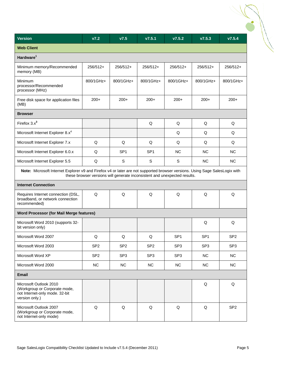| <b>Version</b>                                                                                                              | V7.2                                                                      | V7.5            | V7.5.1          | V7.5.2          | V7.5.3          | V7.5.4          |
|-----------------------------------------------------------------------------------------------------------------------------|---------------------------------------------------------------------------|-----------------|-----------------|-----------------|-----------------|-----------------|
| <b>Web Client</b>                                                                                                           |                                                                           |                 |                 |                 |                 |                 |
| Hardware <sup>1</sup>                                                                                                       |                                                                           |                 |                 |                 |                 |                 |
| Minimum memory/Recommended<br>memory (MB)                                                                                   | 256/512+                                                                  | 256/512+        | 256/512+        | 256/512+        | 256/512+        | 256/512+        |
| Minimum<br>processor/Recommended<br>processor (MHz)                                                                         | 800/1GHz+                                                                 | 800/1GHz+       | 800/1GHz+       | 800/1GHz+       | 800/1GHz+       | 800/1GHz+       |
| Free disk space for application files<br>(MB)                                                                               | $200+$                                                                    | $200+$          | $200+$          | $200+$          | $200+$          | $200+$          |
| <b>Browser</b>                                                                                                              |                                                                           |                 |                 |                 |                 |                 |
| Firefox $3.x^3$                                                                                                             |                                                                           |                 | Q               | Q               | Q               | Q               |
| Microsoft Internet Explorer 8.x <sup>4</sup>                                                                                |                                                                           |                 |                 | Q               | Q               | Q               |
| Microsoft Internet Explorer 7.x                                                                                             | Q                                                                         | Q               | Q               | Q               | Q               | Q               |
| Microsoft Internet Explorer 6.0.x                                                                                           | Q                                                                         | SP <sub>1</sub> | SP <sub>1</sub> | <b>NC</b>       | <b>NC</b>       | <b>NC</b>       |
| Microsoft Internet Explorer 5.5                                                                                             | Q                                                                         | S               | S               | S               | NC.             | <b>NC</b>       |
| Note: Microsoft Internet Explorer v9 and Firefox v4 or later are not supported browser versions. Using Sage SalesLogix with | these browser versions will generate inconsistent and unexpected results. |                 |                 |                 |                 |                 |
| <b>Internet Connection</b>                                                                                                  |                                                                           |                 |                 |                 |                 |                 |
| Requires Internet connection (DSL,<br>broadband, or network connection<br>recommended)                                      | Q                                                                         | Q               | Q               | Q               | Q               | Q               |
| <b>Word Processor (for Mail Merge features)</b>                                                                             |                                                                           |                 |                 |                 |                 |                 |
| Microsoft Word 2010 (supports 32-<br>bit version only)                                                                      |                                                                           |                 |                 |                 | Q               | Q               |
| Microsoft Word 2007                                                                                                         | Q                                                                         | Q               | Q               | SP <sub>1</sub> | SP <sub>1</sub> | SP <sub>2</sub> |
| Microsoft Word 2003                                                                                                         | SP <sub>2</sub>                                                           | SP <sub>2</sub> | SP <sub>2</sub> | SP <sub>3</sub> | SP <sub>3</sub> | SP <sub>3</sub> |
| Microsoft Word XP                                                                                                           | SP <sub>2</sub>                                                           | SP <sub>3</sub> | SP <sub>3</sub> | SP <sub>3</sub> | <b>NC</b>       | <b>NC</b>       |
| Microsoft Word 2000                                                                                                         | <b>NC</b>                                                                 | NC              | <b>NC</b>       | <b>NC</b>       | <b>NC</b>       | <b>NC</b>       |
| <b>Email</b>                                                                                                                |                                                                           |                 |                 |                 |                 |                 |
| Microsoft Outlook 2010<br>(Workgroup or Corporate mode,<br>not Internet-only mode. 32-bit<br>version only.)                 |                                                                           |                 |                 |                 | Q               | Q               |
| Microsoft Outlook 2007<br>(Workgroup or Corporate mode,<br>not Internet-only mode)                                          | $\mathsf Q$                                                               | $\mathsf Q$     | $\mathsf Q$     | $\mathsf Q$     | $\mathsf Q$     | SP <sub>2</sub> |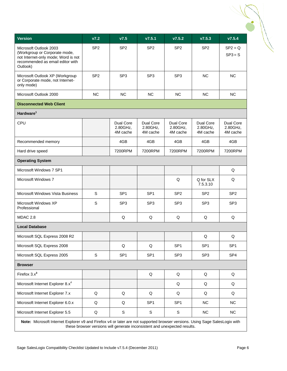| <b>Version</b>                                                                                                                                 | V7.2            | V7.5                              | V7.5.1                            | V7.5.2                            | V7.5.3                            | V7.5.4                            |
|------------------------------------------------------------------------------------------------------------------------------------------------|-----------------|-----------------------------------|-----------------------------------|-----------------------------------|-----------------------------------|-----------------------------------|
| Microsoft Outlook 2003<br>(Workgroup or Corporate mode,<br>not Internet-only mode; Word is not<br>recommended as email editor with<br>Outlook) | SP <sub>2</sub> | SP <sub>2</sub>                   | SP <sub>2</sub>                   | SP <sub>2</sub>                   | SP <sub>2</sub>                   | $SP2 = Q$<br>$SP3 = S$            |
| Microsoft Outlook XP (Workgroup<br>or Corporate mode, not Internet-<br>only mode)                                                              | SP <sub>2</sub> | SP <sub>3</sub>                   | SP <sub>3</sub>                   | SP <sub>3</sub>                   | <b>NC</b>                         | ΝC                                |
| Microsoft Outlook 2000                                                                                                                         | <b>NC</b>       | <b>NC</b>                         | <b>NC</b>                         | <b>NC</b>                         | <b>NC</b>                         | <b>NC</b>                         |
| <b>Disconnected Web Client</b>                                                                                                                 |                 |                                   |                                   |                                   |                                   |                                   |
| Hardware <sup>1</sup>                                                                                                                          |                 |                                   |                                   |                                   |                                   |                                   |
| CPU                                                                                                                                            |                 | Dual Core<br>2.80GHz,<br>4M cache | Dual Core<br>2.80GHz,<br>4M cache | Dual Core<br>2.80GHz,<br>4M cache | Dual Core<br>2.80GHz,<br>4M cache | Dual Core<br>2.80GHz,<br>4M cache |
| Recommended memory                                                                                                                             |                 | 4GB                               | 4GB                               | 4GB                               | 4GB                               | 4GB                               |
| Hard drive speed                                                                                                                               |                 | 7200RPM                           | 7200RPM                           | 7200RPM                           | 7200RPM                           | 7200RPM                           |
| <b>Operating System</b>                                                                                                                        |                 |                                   |                                   |                                   |                                   |                                   |
| Microsoft Windows 7 SP1                                                                                                                        |                 |                                   |                                   |                                   |                                   | Q                                 |
| Microsoft Windows 7                                                                                                                            |                 |                                   |                                   | Q                                 | Q for SLX<br>7.5.3.10             | Q                                 |
| Microsoft Windows Vista Business                                                                                                               | S               | SP <sub>1</sub>                   | SP <sub>1</sub>                   | SP <sub>2</sub>                   | SP <sub>2</sub>                   | SP <sub>2</sub>                   |
| Microsoft Windows XP<br>Professional                                                                                                           | S               | SP <sub>3</sub>                   | SP <sub>3</sub>                   | SP <sub>3</sub>                   | SP <sub>3</sub>                   | SP <sub>3</sub>                   |
| MDAC 2.8                                                                                                                                       |                 | Q                                 | Q                                 | Q                                 | Q                                 | Q                                 |
| <b>Local Database</b>                                                                                                                          |                 |                                   |                                   |                                   |                                   |                                   |
| Microsoft SQL Express 2008 R2                                                                                                                  |                 |                                   |                                   |                                   | Q                                 | Q                                 |
| Microsoft SQL Express 2008                                                                                                                     |                 | Q                                 | Q                                 | SP <sub>1</sub>                   | SP <sub>1</sub>                   | SP <sub>1</sub>                   |
| Microsoft SQL Express 2005                                                                                                                     | $\mathbf S$     | SP <sub>1</sub>                   | SP <sub>1</sub>                   | SP <sub>3</sub>                   | SP <sub>3</sub>                   | SP4                               |
| <b>Browser</b>                                                                                                                                 |                 |                                   |                                   |                                   |                                   |                                   |
| Firefox $3.x^3$                                                                                                                                |                 |                                   | Q                                 | Q                                 | Q                                 | Q                                 |
| Microsoft Internet Explorer 8.x <sup>4</sup>                                                                                                   |                 |                                   |                                   | Q                                 | Q                                 | Q                                 |
| Microsoft Internet Explorer 7.x                                                                                                                | Q               | Q                                 | Q                                 | Q                                 | Q                                 | Q                                 |
| Microsoft Internet Explorer 6.0.x                                                                                                              | Q               | Q                                 | SP <sub>1</sub>                   | SP <sub>1</sub>                   | <b>NC</b>                         | <b>NC</b>                         |
| Microsoft Internet Explorer 5.5                                                                                                                | Q               | S                                 | S                                 | S                                 | <b>NC</b>                         | <b>NC</b>                         |
| Note: Microsoft Internet Explorer v9 and Firefox v4 or later are not supported browser versions. Using Sage SalesLogix with                    |                 |                                   |                                   |                                   |                                   |                                   |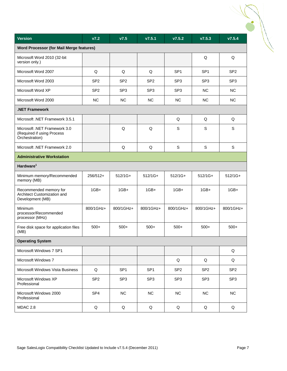| <b>Version</b>                                                               | V7.2            | V7.5            | V7.5.1          | V7.5.2          | V7.5.3          | V7.5.4          |
|------------------------------------------------------------------------------|-----------------|-----------------|-----------------|-----------------|-----------------|-----------------|
| Word Processor (for Mail Merge features)                                     |                 |                 |                 |                 |                 |                 |
| Microsoft Word 2010 (32-bit<br>version only.)                                |                 |                 |                 |                 | Q               | Q               |
| Microsoft Word 2007                                                          | Q               | Q               | Q               | SP <sub>1</sub> | SP <sub>1</sub> | SP <sub>2</sub> |
| Microsoft Word 2003                                                          | SP <sub>2</sub> | SP <sub>2</sub> | SP <sub>2</sub> | SP <sub>3</sub> | SP <sub>3</sub> | SP <sub>3</sub> |
| Microsoft Word XP                                                            | SP <sub>2</sub> | SP <sub>3</sub> | SP <sub>3</sub> | SP <sub>3</sub> | <b>NC</b>       | <b>NC</b>       |
| Microsoft Word 2000                                                          | <b>NC</b>       | <b>NC</b>       | <b>NC</b>       | <b>NC</b>       | <b>NC</b>       | <b>NC</b>       |
| .NET Framework                                                               |                 |                 |                 |                 |                 |                 |
| Microsoft .NET Framework 3.5.1                                               |                 |                 |                 | Q               | Q               | Q               |
| Microsoft .NET Framework 3.0<br>(Required if using Process<br>Orchestration) |                 | Q               | Q               | $\mathsf S$     | $\mathbb S$     | S               |
| Microsoft .NET Framework 2.0                                                 |                 | Q               | Q               | $\mathbf S$     | $\mathsf S$     | $\mathbb S$     |
| <b>Administrative Workstation</b>                                            |                 |                 |                 |                 |                 |                 |
| Hardware <sup>1</sup>                                                        |                 |                 |                 |                 |                 |                 |
| Minimum memory/Recommended<br>memory (MB)                                    | 256/512+        | $512/1G+$       | $512/1G+$       | 512/1G+         | $512/1G+$       | $512/1G+$       |
| Recommended memory for<br>Architect Customization and<br>Development (MB)    | $1GB+$          | $1GB+$          | $1GB+$          | $1GB+$          | $1GB+$          | $1GB+$          |
| Minimum<br>processor/Recommended<br>processor (MHz)                          | 800/1GHz+       | 800/1GHz+       | 800/1GHz+       | 800/1GHz+       | 800/1GHz+       | 800/1GHz+       |
| Free disk space for application files<br>(MB)                                | $500+$          | $500+$          | $500+$          | $500+$          | $500+$          | $500+$          |
| <b>Operating System</b>                                                      |                 |                 |                 |                 |                 |                 |
| Microsoft Windows 7 SP1                                                      |                 |                 |                 |                 |                 | Q               |
| Microsoft Windows 7                                                          |                 |                 |                 | Q               | Q               | Q               |
| Microsoft Windows Vista Business                                             | $\mathsf Q$     | SP <sub>1</sub> | SP <sub>1</sub> | SP <sub>2</sub> | SP <sub>2</sub> | SP <sub>2</sub> |
| Microsoft Windows XP<br>Professional                                         | SP <sub>2</sub> | SP <sub>3</sub> | SP <sub>3</sub> | SP <sub>3</sub> | SP <sub>3</sub> | SP <sub>3</sub> |
| Microsoft Windows 2000<br>Professional                                       | SP <sub>4</sub> | NC              | <b>NC</b>       | <b>NC</b>       | <b>NC</b>       | <b>NC</b>       |
| <b>MDAC 2.8</b>                                                              | $\sf Q$         | Q               | Q               | Q               | Q               | Q               |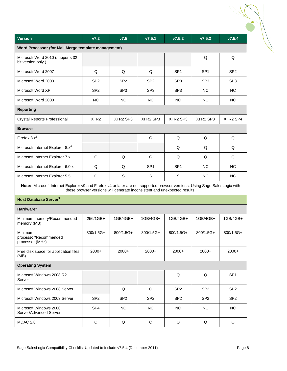| <b>Version</b>                                                                                                              | V7.2             | V7.5            | V7.5.1                                                                    | V7.5.2          | V7.5.3          | V7.5.4          |
|-----------------------------------------------------------------------------------------------------------------------------|------------------|-----------------|---------------------------------------------------------------------------|-----------------|-----------------|-----------------|
| Word Processor (for Mail Merge template management)                                                                         |                  |                 |                                                                           |                 |                 |                 |
| Microsoft Word 2010 (supports 32-<br>bit version only.)                                                                     |                  |                 |                                                                           |                 | Q               | Q               |
| Microsoft Word 2007                                                                                                         | Q                | Q               | Q                                                                         | SP <sub>1</sub> | SP <sub>1</sub> | SP <sub>2</sub> |
| Microsoft Word 2003                                                                                                         | SP <sub>2</sub>  | SP <sub>2</sub> | SP <sub>2</sub>                                                           | SP <sub>3</sub> | SP <sub>3</sub> | SP <sub>3</sub> |
| Microsoft Word XP                                                                                                           | SP <sub>2</sub>  | SP <sub>3</sub> | SP <sub>3</sub>                                                           | SP <sub>3</sub> | <b>NC</b>       | <b>NC</b>       |
| Microsoft Word 2000                                                                                                         | <b>NC</b>        | <b>NC</b>       | <b>NC</b>                                                                 | <b>NC</b>       | <b>NC</b>       | <b>NC</b>       |
| <b>Reporting</b>                                                                                                            |                  |                 |                                                                           |                 |                 |                 |
| <b>Crystal Reports Professional</b>                                                                                         | XI <sub>R2</sub> | XI R2 SP3       | XI R2 SP3                                                                 | XI R2 SP3       | XI R2 SP3       | XI R2 SP4       |
| <b>Browser</b>                                                                                                              |                  |                 |                                                                           |                 |                 |                 |
| Firefox $3.x^3$                                                                                                             |                  |                 | Q                                                                         | Q               | Q               | Q               |
| Microsoft Internet Explorer 8.x <sup>4</sup>                                                                                |                  |                 |                                                                           | Q               | Q               | Q               |
| Microsoft Internet Explorer 7.x                                                                                             | Q                | Q               | Q                                                                         | Q               | Q               | Q               |
| Microsoft Internet Explorer 6.0.x                                                                                           | Q                | Q               | SP <sub>1</sub>                                                           | SP <sub>1</sub> | NC.             | NC              |
| Microsoft Internet Explorer 5.5                                                                                             | Q                | S               | S                                                                         | S               | <b>NC</b>       | <b>NC</b>       |
| Note: Microsoft Internet Explorer v9 and Firefox v4 or later are not supported browser versions. Using Sage SalesLogix with |                  |                 | these browser versions will generate inconsistent and unexpected results. |                 |                 |                 |
| Host Database Server <sup>5</sup>                                                                                           |                  |                 |                                                                           |                 |                 |                 |
| Hardware <sup>1</sup>                                                                                                       |                  |                 |                                                                           |                 |                 |                 |
| Minimum memory/Recommended<br>memory (MB)                                                                                   | 256/1GB+         | 1GB/4GB+        | 1GB/4GB+                                                                  | 1GB/4GB+        | 1GB/4GB+        | 1GB/4GB+        |
| Minimum<br>processor/Recommended<br>processor (MHz)                                                                         | 800/1.5G+        | 800/1.5G+       | 800/1.5G+                                                                 | 800/1.5G+       | 800/1.5G+       | 800/1.5G+       |
| Free disk space for application files<br>(MB)                                                                               | $2000+$          | $2000+$         | 2000+                                                                     | $2000+$         | $2000+$         | $2000+$         |
| <b>Operating System</b>                                                                                                     |                  |                 |                                                                           |                 |                 |                 |
| Microsoft Windows 2008 R2<br>Server                                                                                         |                  |                 |                                                                           | Q               | Q               | SP <sub>1</sub> |
| Microsoft Windows 2008 Server                                                                                               |                  | Q               | Q                                                                         | SP <sub>2</sub> | SP <sub>2</sub> | SP <sub>2</sub> |
| Microsoft Windows 2003 Server                                                                                               | SP <sub>2</sub>  | SP <sub>2</sub> | SP <sub>2</sub>                                                           | SP <sub>2</sub> | SP <sub>2</sub> | SP <sub>2</sub> |
| Microsoft Windows 2000<br>Server/Advanced Server                                                                            | SP4              | NC              | NC                                                                        | NC              | NC              | <b>NC</b>       |
| MDAC 2.8                                                                                                                    | Q                | Q               | Q                                                                         | Q               | Q               | Q               |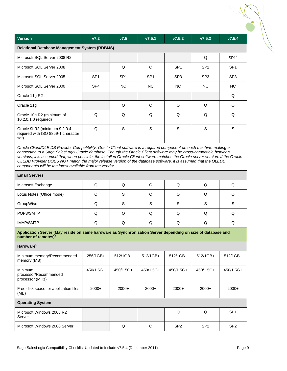| <b>Version</b><br>V7.2<br>V7.5<br>V7.5.1<br>V7.5.2<br>V7.5.3<br>V7.5.4<br><b>Relational Database Management System (RDBMS)</b><br>$SP1^2$<br>Microsoft SQL Server 2008 R2<br>Q<br>Microsoft SQL Server 2008<br>Q<br>Q<br>SP <sub>1</sub><br>SP <sub>1</sub><br>SP <sub>1</sub><br>Microsoft SQL Server 2005<br>SP <sub>1</sub><br>SP <sub>1</sub><br>SP <sub>1</sub><br>SP <sub>3</sub><br>SP <sub>3</sub><br>SP <sub>3</sub><br>Microsoft SQL Server 2000<br>SP4<br>NC.<br>NC.<br>NC.<br>NC.<br>NC.<br>Q<br>Oracle 11g R2<br>Oracle 11g<br>Q<br>Q<br>Q<br>Q<br>Q<br>Q<br>Q<br>Q<br>Q<br>Q<br>Q<br>Oracle 10g R2 (minimum of<br>10.2.0.1.0 required)<br>Q<br>S<br>S<br>S<br>S<br>S<br>Oracle 9i R2 (minimum 9.2.0.4<br>required with ISO 8859-1 character<br>set)<br>Oracle Client/OLE DB Provider Compatibility: Oracle Client software is a required component on each machine making a<br>connection to a Sage SalesLogix Oracle database. Though the Oracle Client software may be cross-compatible between<br>versions, it is assumed that, when possible, the installed Oracle Client software matches the Oracle server version. If the Oracle<br>OLEDB Provider DOES NOT match the major release version of the database software, it is assumed that the OLEDB<br>components will be the latest available from the vendor.<br><b>Email Servers</b><br>Q<br>Q<br>Q<br>Q<br>Q<br>Microsoft Exchange<br>Q<br>S<br>Q<br>Lotus Notes (Office mode)<br>Q<br>Q<br>Q<br>Q<br>S<br>GroupWise<br>Q<br>S<br>S<br>S<br>S<br>POP3/SMTP<br>Q<br>Q<br>Q<br>Q<br>Q<br>Q<br>Q<br>Q<br>Q<br><b>IMAP/SMTP</b><br>Q<br>Q<br>Q<br>Application Server (May reside on same hardware as Synchronization Server depending on size of database and<br>number of remotes) <sup>5</sup><br>Hardware <sup>1</sup><br>Minimum memory/Recommended<br>256/1GB+<br>512/1GB+<br>512/1GB+<br>512/1GB+<br>512/1GB+<br>512/1GB+<br>memory (MB)<br>Minimum<br>450/1.5G+<br>450/1.5G+<br>450/1.5G+<br>450/1.5G+<br>450/1.5G+<br>450/1.5G+<br>processor/Recommended<br>processor (MHz)<br>2000+<br>$2000+$<br>$2000+$<br>Free disk space for application files<br>$2000+$<br>$2000+$<br>$2000+$<br>(MB)<br><b>Operating System</b><br>Q<br>Q<br>SP <sub>1</sub><br>Microsoft Windows 2008 R2<br>Server<br>Q<br>Q<br>Microsoft Windows 2008 Server<br>SP <sub>2</sub><br>SP <sub>2</sub><br>SP <sub>2</sub> |  |  |  |  |
|-----------------------------------------------------------------------------------------------------------------------------------------------------------------------------------------------------------------------------------------------------------------------------------------------------------------------------------------------------------------------------------------------------------------------------------------------------------------------------------------------------------------------------------------------------------------------------------------------------------------------------------------------------------------------------------------------------------------------------------------------------------------------------------------------------------------------------------------------------------------------------------------------------------------------------------------------------------------------------------------------------------------------------------------------------------------------------------------------------------------------------------------------------------------------------------------------------------------------------------------------------------------------------------------------------------------------------------------------------------------------------------------------------------------------------------------------------------------------------------------------------------------------------------------------------------------------------------------------------------------------------------------------------------------------------------------------------------------------------------------------------------------------------------------------------------------------------------------------------------------------------------------------------------------------------------------------------------------------------------------------------------------------------------------------------------------------------------------------------------------------------------------------------------------------------------------------------------------------------------------------------------------------------------------------------------------------------------------------------------------------------|--|--|--|--|
|                                                                                                                                                                                                                                                                                                                                                                                                                                                                                                                                                                                                                                                                                                                                                                                                                                                                                                                                                                                                                                                                                                                                                                                                                                                                                                                                                                                                                                                                                                                                                                                                                                                                                                                                                                                                                                                                                                                                                                                                                                                                                                                                                                                                                                                                                                                                                                             |  |  |  |  |
|                                                                                                                                                                                                                                                                                                                                                                                                                                                                                                                                                                                                                                                                                                                                                                                                                                                                                                                                                                                                                                                                                                                                                                                                                                                                                                                                                                                                                                                                                                                                                                                                                                                                                                                                                                                                                                                                                                                                                                                                                                                                                                                                                                                                                                                                                                                                                                             |  |  |  |  |
|                                                                                                                                                                                                                                                                                                                                                                                                                                                                                                                                                                                                                                                                                                                                                                                                                                                                                                                                                                                                                                                                                                                                                                                                                                                                                                                                                                                                                                                                                                                                                                                                                                                                                                                                                                                                                                                                                                                                                                                                                                                                                                                                                                                                                                                                                                                                                                             |  |  |  |  |
|                                                                                                                                                                                                                                                                                                                                                                                                                                                                                                                                                                                                                                                                                                                                                                                                                                                                                                                                                                                                                                                                                                                                                                                                                                                                                                                                                                                                                                                                                                                                                                                                                                                                                                                                                                                                                                                                                                                                                                                                                                                                                                                                                                                                                                                                                                                                                                             |  |  |  |  |
|                                                                                                                                                                                                                                                                                                                                                                                                                                                                                                                                                                                                                                                                                                                                                                                                                                                                                                                                                                                                                                                                                                                                                                                                                                                                                                                                                                                                                                                                                                                                                                                                                                                                                                                                                                                                                                                                                                                                                                                                                                                                                                                                                                                                                                                                                                                                                                             |  |  |  |  |
|                                                                                                                                                                                                                                                                                                                                                                                                                                                                                                                                                                                                                                                                                                                                                                                                                                                                                                                                                                                                                                                                                                                                                                                                                                                                                                                                                                                                                                                                                                                                                                                                                                                                                                                                                                                                                                                                                                                                                                                                                                                                                                                                                                                                                                                                                                                                                                             |  |  |  |  |
|                                                                                                                                                                                                                                                                                                                                                                                                                                                                                                                                                                                                                                                                                                                                                                                                                                                                                                                                                                                                                                                                                                                                                                                                                                                                                                                                                                                                                                                                                                                                                                                                                                                                                                                                                                                                                                                                                                                                                                                                                                                                                                                                                                                                                                                                                                                                                                             |  |  |  |  |
|                                                                                                                                                                                                                                                                                                                                                                                                                                                                                                                                                                                                                                                                                                                                                                                                                                                                                                                                                                                                                                                                                                                                                                                                                                                                                                                                                                                                                                                                                                                                                                                                                                                                                                                                                                                                                                                                                                                                                                                                                                                                                                                                                                                                                                                                                                                                                                             |  |  |  |  |
|                                                                                                                                                                                                                                                                                                                                                                                                                                                                                                                                                                                                                                                                                                                                                                                                                                                                                                                                                                                                                                                                                                                                                                                                                                                                                                                                                                                                                                                                                                                                                                                                                                                                                                                                                                                                                                                                                                                                                                                                                                                                                                                                                                                                                                                                                                                                                                             |  |  |  |  |
|                                                                                                                                                                                                                                                                                                                                                                                                                                                                                                                                                                                                                                                                                                                                                                                                                                                                                                                                                                                                                                                                                                                                                                                                                                                                                                                                                                                                                                                                                                                                                                                                                                                                                                                                                                                                                                                                                                                                                                                                                                                                                                                                                                                                                                                                                                                                                                             |  |  |  |  |
|                                                                                                                                                                                                                                                                                                                                                                                                                                                                                                                                                                                                                                                                                                                                                                                                                                                                                                                                                                                                                                                                                                                                                                                                                                                                                                                                                                                                                                                                                                                                                                                                                                                                                                                                                                                                                                                                                                                                                                                                                                                                                                                                                                                                                                                                                                                                                                             |  |  |  |  |
|                                                                                                                                                                                                                                                                                                                                                                                                                                                                                                                                                                                                                                                                                                                                                                                                                                                                                                                                                                                                                                                                                                                                                                                                                                                                                                                                                                                                                                                                                                                                                                                                                                                                                                                                                                                                                                                                                                                                                                                                                                                                                                                                                                                                                                                                                                                                                                             |  |  |  |  |
|                                                                                                                                                                                                                                                                                                                                                                                                                                                                                                                                                                                                                                                                                                                                                                                                                                                                                                                                                                                                                                                                                                                                                                                                                                                                                                                                                                                                                                                                                                                                                                                                                                                                                                                                                                                                                                                                                                                                                                                                                                                                                                                                                                                                                                                                                                                                                                             |  |  |  |  |
|                                                                                                                                                                                                                                                                                                                                                                                                                                                                                                                                                                                                                                                                                                                                                                                                                                                                                                                                                                                                                                                                                                                                                                                                                                                                                                                                                                                                                                                                                                                                                                                                                                                                                                                                                                                                                                                                                                                                                                                                                                                                                                                                                                                                                                                                                                                                                                             |  |  |  |  |
|                                                                                                                                                                                                                                                                                                                                                                                                                                                                                                                                                                                                                                                                                                                                                                                                                                                                                                                                                                                                                                                                                                                                                                                                                                                                                                                                                                                                                                                                                                                                                                                                                                                                                                                                                                                                                                                                                                                                                                                                                                                                                                                                                                                                                                                                                                                                                                             |  |  |  |  |
|                                                                                                                                                                                                                                                                                                                                                                                                                                                                                                                                                                                                                                                                                                                                                                                                                                                                                                                                                                                                                                                                                                                                                                                                                                                                                                                                                                                                                                                                                                                                                                                                                                                                                                                                                                                                                                                                                                                                                                                                                                                                                                                                                                                                                                                                                                                                                                             |  |  |  |  |
|                                                                                                                                                                                                                                                                                                                                                                                                                                                                                                                                                                                                                                                                                                                                                                                                                                                                                                                                                                                                                                                                                                                                                                                                                                                                                                                                                                                                                                                                                                                                                                                                                                                                                                                                                                                                                                                                                                                                                                                                                                                                                                                                                                                                                                                                                                                                                                             |  |  |  |  |
|                                                                                                                                                                                                                                                                                                                                                                                                                                                                                                                                                                                                                                                                                                                                                                                                                                                                                                                                                                                                                                                                                                                                                                                                                                                                                                                                                                                                                                                                                                                                                                                                                                                                                                                                                                                                                                                                                                                                                                                                                                                                                                                                                                                                                                                                                                                                                                             |  |  |  |  |
|                                                                                                                                                                                                                                                                                                                                                                                                                                                                                                                                                                                                                                                                                                                                                                                                                                                                                                                                                                                                                                                                                                                                                                                                                                                                                                                                                                                                                                                                                                                                                                                                                                                                                                                                                                                                                                                                                                                                                                                                                                                                                                                                                                                                                                                                                                                                                                             |  |  |  |  |
|                                                                                                                                                                                                                                                                                                                                                                                                                                                                                                                                                                                                                                                                                                                                                                                                                                                                                                                                                                                                                                                                                                                                                                                                                                                                                                                                                                                                                                                                                                                                                                                                                                                                                                                                                                                                                                                                                                                                                                                                                                                                                                                                                                                                                                                                                                                                                                             |  |  |  |  |
|                                                                                                                                                                                                                                                                                                                                                                                                                                                                                                                                                                                                                                                                                                                                                                                                                                                                                                                                                                                                                                                                                                                                                                                                                                                                                                                                                                                                                                                                                                                                                                                                                                                                                                                                                                                                                                                                                                                                                                                                                                                                                                                                                                                                                                                                                                                                                                             |  |  |  |  |
|                                                                                                                                                                                                                                                                                                                                                                                                                                                                                                                                                                                                                                                                                                                                                                                                                                                                                                                                                                                                                                                                                                                                                                                                                                                                                                                                                                                                                                                                                                                                                                                                                                                                                                                                                                                                                                                                                                                                                                                                                                                                                                                                                                                                                                                                                                                                                                             |  |  |  |  |
|                                                                                                                                                                                                                                                                                                                                                                                                                                                                                                                                                                                                                                                                                                                                                                                                                                                                                                                                                                                                                                                                                                                                                                                                                                                                                                                                                                                                                                                                                                                                                                                                                                                                                                                                                                                                                                                                                                                                                                                                                                                                                                                                                                                                                                                                                                                                                                             |  |  |  |  |
|                                                                                                                                                                                                                                                                                                                                                                                                                                                                                                                                                                                                                                                                                                                                                                                                                                                                                                                                                                                                                                                                                                                                                                                                                                                                                                                                                                                                                                                                                                                                                                                                                                                                                                                                                                                                                                                                                                                                                                                                                                                                                                                                                                                                                                                                                                                                                                             |  |  |  |  |
|                                                                                                                                                                                                                                                                                                                                                                                                                                                                                                                                                                                                                                                                                                                                                                                                                                                                                                                                                                                                                                                                                                                                                                                                                                                                                                                                                                                                                                                                                                                                                                                                                                                                                                                                                                                                                                                                                                                                                                                                                                                                                                                                                                                                                                                                                                                                                                             |  |  |  |  |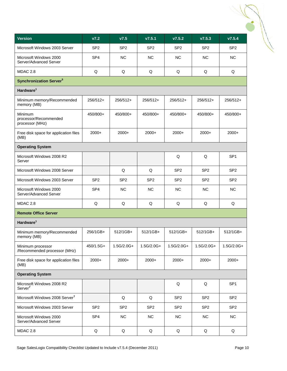| <b>Version</b>                                      | V7.2            | V7.5            | V7.5.1          | V7.5.2          | V7.5.3          | V7.5.4          |
|-----------------------------------------------------|-----------------|-----------------|-----------------|-----------------|-----------------|-----------------|
| Microsoft Windows 2003 Server                       | SP <sub>2</sub> | SP <sub>2</sub> | SP <sub>2</sub> | SP <sub>2</sub> | SP <sub>2</sub> | SP <sub>2</sub> |
| Microsoft Windows 2000<br>Server/Advanced Server    | SP <sub>4</sub> | <b>NC</b>       | <b>NC</b>       | <b>NC</b>       | <b>NC</b>       | <b>NC</b>       |
| MDAC 2.8                                            | Q               | Q               | Q               | Q               | Q               | Q               |
| <b>Synchronization Server<sup>5</sup></b>           |                 |                 |                 |                 |                 |                 |
| Hardware <sup>1</sup>                               |                 |                 |                 |                 |                 |                 |
| Minimum memory/Recommended<br>memory (MB)           | 256/512+        | 256/512+        | 256/512+        | 256/512+        | 256/512+        | 256/512+        |
| Minimum<br>processor/Recommended<br>processor (MHz) | 450/800+        | 450/800+        | 450/800+        | 450/800+        | 450/800+        | 450/800+        |
| Free disk space for application files<br>(MB)       | 2000+           | $2000+$         | 2000+           | $2000+$         | $2000+$         | $2000+$         |
| <b>Operating System</b>                             |                 |                 |                 |                 |                 |                 |
| Microsoft Windows 2008 R2<br>Server                 |                 |                 |                 | Q               | Q               | SP <sub>1</sub> |
| Microsoft Windows 2008 Server                       |                 | Q               | Q               | SP <sub>2</sub> | SP <sub>2</sub> | SP <sub>2</sub> |
| Microsoft Windows 2003 Server                       | SP <sub>2</sub> | SP <sub>2</sub> | SP <sub>2</sub> | SP <sub>2</sub> | SP <sub>2</sub> | SP <sub>2</sub> |
| Microsoft Windows 2000<br>Server/Advanced Server    | SP <sub>4</sub> | <b>NC</b>       | <b>NC</b>       | <b>NC</b>       | <b>NC</b>       | <b>NC</b>       |
| MDAC 2.8                                            | Q               | Q               | Q               | Q               | Q               | Q               |
| <b>Remote Office Server</b>                         |                 |                 |                 |                 |                 |                 |
| Hardware <sup>1</sup>                               |                 |                 |                 |                 |                 |                 |
| Minimum memory/Recommended<br>memory (MB)           | 256/1GB+        | 512/1GB+        | 512/1GB+        | 512/1GB+        | 512/1GB+        | 512/1GB+        |
| Minimum processor<br>/Recommended processor (MHz)   | 450/1.5G+       | 1.5G/2.0G+      | 1.5G/2.0G+      | 1.5G/2.0G+      | 1.5G/2.0G+      | 1.5G/2.0G+      |
| Free disk space for application files<br>(MB)       | 2000+           | $2000+$         | $2000+$         | $2000+$         | $2000+$         | 2000+           |
| <b>Operating System</b>                             |                 |                 |                 |                 |                 |                 |
| Microsoft Windows 2008 R2<br>Server <sup>7</sup>    |                 |                 |                 | Q               | Q               | SP <sub>1</sub> |
| Microsoft Windows 2008 Server <sup>7</sup>          |                 | Q               | Q               | SP <sub>2</sub> | SP <sub>2</sub> | SP <sub>2</sub> |
| Microsoft Windows 2003 Server                       | SP <sub>2</sub> | SP <sub>2</sub> | SP <sub>2</sub> | SP <sub>2</sub> | SP <sub>2</sub> | SP <sub>2</sub> |
| Microsoft Windows 2000<br>Server/Advanced Server    | SP <sub>4</sub> | <b>NC</b>       | <b>NC</b>       | NC              | <b>NC</b>       | NC              |
| <b>MDAC 2.8</b>                                     | Q               | Q               | Q               | Q               | Q               | Q               |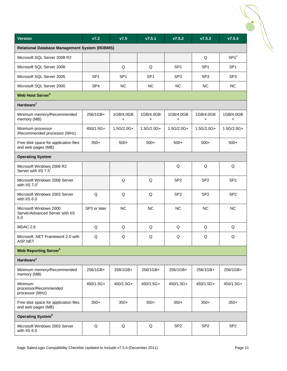| <b>Version</b>                                                   | V7.2            | V7.5            | V7.5.1          | V7.5.2          | V7.5.3                 | V7.5.4           |
|------------------------------------------------------------------|-----------------|-----------------|-----------------|-----------------|------------------------|------------------|
| <b>Relational Database Management System (RDBMS)</b>             |                 |                 |                 |                 |                        |                  |
| Microsoft SQL Server 2008 R2                                     |                 |                 |                 |                 | Q                      | SP1 <sup>2</sup> |
| Microsoft SQL Server 2008                                        |                 | Q               | Q               | SP <sub>1</sub> | SP <sub>1</sub>        | SP <sub>1</sub>  |
| Microsoft SQL Server 2005                                        | SP <sub>1</sub> | SP <sub>1</sub> | SP <sub>1</sub> | SP <sub>3</sub> | SP <sub>3</sub>        | SP <sub>3</sub>  |
| Microsoft SQL Server 2000                                        | SP <sub>4</sub> | <b>NC</b>       | <b>NC</b>       | <b>NC</b>       | <b>NC</b>              | <b>NC</b>        |
| Web Host Server <sup>5</sup>                                     |                 |                 |                 |                 |                        |                  |
| Hardware <sup>1</sup>                                            |                 |                 |                 |                 |                        |                  |
| Minimum memory/Recommended<br>memory (MB)                        | 256/1GB+        | 1GB/4.0GB<br>+  | 1GB/4.0GB<br>+  | 1GB/4.0GB<br>+  | 1GB/4.0GB<br>$\ddot{}$ | 1GB/4.0GB<br>+   |
| Minimum processor<br>/Recommended processor (MHz)                | 450/1.5G+       | 1.5G/2.0G+      | 1.5G/2.0G+      | 1.5G/2.0G+      | 1.5G/2.0G+             | 1.5G/2.0G+       |
| Free disk space for application files<br>and web pages (MB)      | $350+$          | $500+$          | $500+$          | $500+$          | $500+$                 | $500+$           |
| <b>Operating System</b>                                          |                 |                 |                 |                 |                        |                  |
| Microsoft Windows 2008 R2<br>Server with IIS 7.57                |                 |                 |                 | Q               | Q                      | Q                |
| Microsoft Windows 2008 Server<br>with IIS $7.07$                 |                 | Q               | Q               | SP <sub>2</sub> | SP <sub>2</sub>        | SP <sub>2</sub>  |
| Microsoft Windows 2003 Server<br>with IIS 6.0                    | $\mathsf Q$     | $\mathsf Q$     | Q               | SP <sub>2</sub> | SP <sub>2</sub>        | SP <sub>2</sub>  |
| Microsoft Windows 2000<br>Server/Advanced Server with IIS<br>5.0 | SP3 or later    | <b>NC</b>       | <b>NC</b>       | <b>NC</b>       | <b>NC</b>              | <b>NC</b>        |
| MDAC 2.8                                                         | Q               | Q               | Q               | Q               | Q                      | Q                |
| Microsoft .NET Framework 2.0 with<br>ASP.NET                     | $\mathsf Q$     | $\mathsf Q$     | Q               | Q               | Q                      | Q                |
| <b>Web Reporting Server<sup>5</sup></b>                          |                 |                 |                 |                 |                        |                  |
| Hardware <sup>1</sup>                                            |                 |                 |                 |                 |                        |                  |
| Minimum memory/Recommended<br>memory (MB)                        | 256/1GB+        | 256/1GB+        | 256/1GB+        | 256/1GB+        | 256/1GB+               | 256/1GB+         |
| Minimum<br>processor/Recommended<br>processor (MHz)              | 450/1.5G+       | 450/1.5G+       | 450/1.5G+       | 450/1.5G+       | 450/1.5G+              | 450/1.5G+        |
| Free disk space for application files<br>and web pages (MB)      | $350+$          | $350+$          | $350+$          | $350+$          | $350+$                 | $350+$           |
| Operating System <sup>8</sup>                                    |                 |                 |                 |                 |                        |                  |
| Microsoft Windows 2003 Server<br>with IIS 6.0                    | $\mathsf Q$     | $\mathsf Q$     | Q               | SP <sub>2</sub> | SP <sub>2</sub>        | SP <sub>2</sub>  |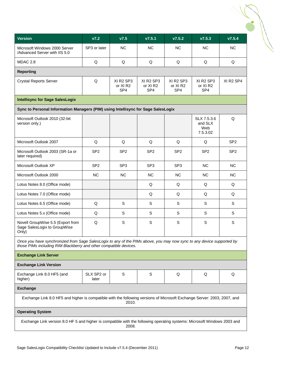| <b>Version</b>                                                                                                                                                                             | V7.2                | V7.5                                     | v7.5.1                                              | V7.5.2                                                                      | V7.5.3                                    | V7.5.4          |
|--------------------------------------------------------------------------------------------------------------------------------------------------------------------------------------------|---------------------|------------------------------------------|-----------------------------------------------------|-----------------------------------------------------------------------------|-------------------------------------------|-----------------|
| Microsoft Windows 2000 Server<br>/Advanced Server with IIS 5.0                                                                                                                             | SP3 or later        | <b>NC</b>                                | <b>NC</b>                                           | <b>NC</b>                                                                   | <b>NC</b>                                 | <b>NC</b>       |
| MDAC 2.8                                                                                                                                                                                   | Q                   | Q                                        | Q                                                   | Q                                                                           | Q                                         | Q               |
| <b>Reporting</b>                                                                                                                                                                           |                     |                                          |                                                     |                                                                             |                                           |                 |
| <b>Crystal Reports Server</b>                                                                                                                                                              | Q                   | XI R2 SP3<br>or XI R2<br>SP <sub>4</sub> | XI R2 SP3<br>or XI <sub>R2</sub><br>SP <sub>4</sub> | XI R <sub>2</sub> SP <sub>3</sub><br>or XI <sub>R2</sub><br>SP <sub>4</sub> | XI R2 SP3<br>or XI R2<br>SP <sub>4</sub>  | XI R2 SP4       |
| <b>Intellisync for Sage SalesLogix</b>                                                                                                                                                     |                     |                                          |                                                     |                                                                             |                                           |                 |
| Sync to Personal Information Managers (PIM) using Intellisync for Sage SalesLogix                                                                                                          |                     |                                          |                                                     |                                                                             |                                           |                 |
| Microsoft Outlook 2010 (32-bit<br>version only.)                                                                                                                                           |                     |                                          |                                                     |                                                                             | SLX 7.5.3.6<br>and SLX<br>Web<br>7.5.3.02 | Q               |
| Microsoft Outlook 2007                                                                                                                                                                     | Q                   | Q                                        | Q                                                   | Q                                                                           | Q                                         | SP <sub>2</sub> |
| Microsoft Outlook 2003 (SR-1a or<br>later required)                                                                                                                                        | SP <sub>2</sub>     | SP <sub>2</sub>                          | SP <sub>2</sub>                                     | SP <sub>2</sub>                                                             | SP <sub>2</sub>                           | SP <sub>2</sub> |
| Microsoft Outlook XP                                                                                                                                                                       | SP <sub>2</sub>     | SP <sub>3</sub>                          | SP <sub>3</sub>                                     | SP <sub>3</sub>                                                             | <b>NC</b>                                 | <b>NC</b>       |
| Microsoft Outlook 2000                                                                                                                                                                     | <b>NC</b>           | <b>NC</b>                                | <b>NC</b>                                           | <b>NC</b>                                                                   | <b>NC</b>                                 | <b>NC</b>       |
| Lotus Notes 8.0 (Office mode)                                                                                                                                                              |                     |                                          | Q                                                   | Q                                                                           | Q                                         | Q               |
| Lotus Notes 7.0 (Office mode)                                                                                                                                                              |                     |                                          | Q                                                   | Q                                                                           | Q                                         | Q               |
| Lotus Notes 6.5 (Office mode)                                                                                                                                                              | Q                   | S                                        | S                                                   | S                                                                           | S                                         | S               |
| Lotus Notes 5.x (Office mode)                                                                                                                                                              | Q                   | S                                        | S                                                   | S                                                                           | S                                         | S               |
| Novell GroupWise 5.5 (Export from<br>Sage SalesLogix to GroupWise<br>Only)                                                                                                                 | Q                   | S                                        | S                                                   | S                                                                           | S                                         | S               |
| Once you have synchronized from Sage SalesLogix to any of the PIMs above, you may now sync to any device supported by<br>those PIMs including RIM Blackberry and other compatible devices. |                     |                                          |                                                     |                                                                             |                                           |                 |
| <b>Exchange Link Server</b>                                                                                                                                                                |                     |                                          |                                                     |                                                                             |                                           |                 |
| <b>Exchange Link Version</b>                                                                                                                                                               |                     |                                          |                                                     |                                                                             |                                           |                 |
| Exchange Link 8.0 HF5 (and<br>higher)                                                                                                                                                      | SLX SP2 or<br>later | S                                        | S                                                   | Q                                                                           | Q                                         | Q               |
| <b>Exchange</b>                                                                                                                                                                            |                     |                                          |                                                     |                                                                             |                                           |                 |
| Exchange Link 8.0 HF5 and higher is compatible with the following versions of Microsoft Exchange Server: 2003, 2007, and                                                                   |                     | 2010.                                    |                                                     |                                                                             |                                           |                 |
| <b>Operating System</b>                                                                                                                                                                    |                     |                                          |                                                     |                                                                             |                                           |                 |
| Exchange Link version 8.0 HF 5 and higher is compatible with the following operating systems: Microsoft Windows 2003 and                                                                   |                     | 2008.                                    |                                                     |                                                                             |                                           |                 |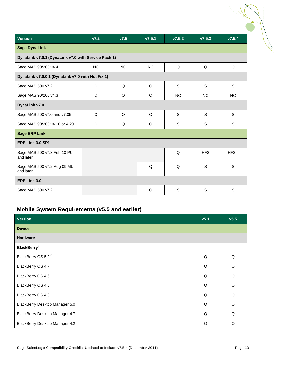| <b>Version</b>                                      | V7.2      | V7.5      | V7.5.1    | V7.5.2    | V7.5.3          | V7.5.4     |
|-----------------------------------------------------|-----------|-----------|-----------|-----------|-----------------|------------|
| <b>Sage DynaLink</b>                                |           |           |           |           |                 |            |
| DynaLink v7.0.1 (DynaLink v7.0 with Service Pack 1) |           |           |           |           |                 |            |
| Sage MAS 90/200 v4.4                                | <b>NC</b> | <b>NC</b> | <b>NC</b> | Q         | Q               | Q          |
| DynaLink v7.0.0.1 (DynaLink v7.0 with Hot Fix 1)    |           |           |           |           |                 |            |
| Sage MAS 500 v7.2                                   | Q         | Q         | Q         | S         | S               | S          |
| Sage MAS 90/200 v4.3                                | Q         | Q         | Q         | <b>NC</b> | <b>NC</b>       | <b>NC</b>  |
| DynaLink v7.0                                       |           |           |           |           |                 |            |
| Sage MAS 500 v7.0 and v7.05                         | Q         | Q         | Q         | S         | S               | S          |
| Sage MAS 90/200 v4.10 or 4.20                       | Q         | Q         | Q         | S         | S               | S          |
| <b>Sage ERP Link</b>                                |           |           |           |           |                 |            |
| ERP Link 3.0 SP1                                    |           |           |           |           |                 |            |
| Sage MAS 500 v7.3 Feb 10 PU<br>and later            |           |           |           | Q         | HF <sub>2</sub> | $HF3^{16}$ |
| Sage MAS 500 v7.2 Aug 09 MU<br>and later            |           |           | Q         | Q         | S               | S          |
| ERP Link 3.0                                        |           |           |           |           |                 |            |
| Sage MAS 500 v7.2                                   |           |           | Q         | S         | S               | S          |

## <span id="page-12-0"></span>**Mobile System Requirements (v5.5 and earlier)**

| Version                         | v5.1 | v5.5 |
|---------------------------------|------|------|
| <b>Device</b>                   |      |      |
| <b>Hardware</b>                 |      |      |
| <b>BlackBerry</b> <sup>9</sup>  |      |      |
| BlackBerry OS 5.0 <sup>10</sup> | Q    | Q    |
| BlackBerry OS 4.7               | Q    | Q    |
| BlackBerry OS 4.6               | Q    | Q    |
| BlackBerry OS 4.5               | Q    | Q    |
| BlackBerry OS 4.3               | Q    | Q    |
| BlackBerry Desktop Manager 5.0  | Q    | Q    |
| BlackBerry Desktop Manager 4.7  | Q    | Q    |
| BlackBerry Desktop Manager 4.2  | Q    | Q    |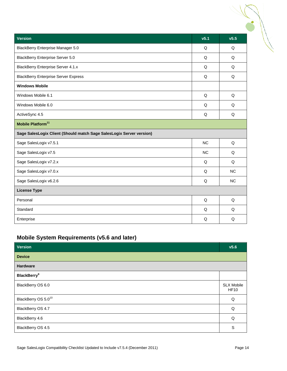| <b>Version</b>                                                       | v <sub>5.1</sub> | v5.5      |
|----------------------------------------------------------------------|------------------|-----------|
| <b>BlackBerry Enterprise Manager 5.0</b>                             | Q                | Q         |
| <b>BlackBerry Enterprise Server 5.0</b>                              | Q                | Q         |
| <b>BlackBerry Enterprise Server 4.1.x</b>                            | Q                | Q         |
| <b>BlackBerry Enterprise Server Express</b>                          | Q                | Q         |
| <b>Windows Mobile</b>                                                |                  |           |
| Windows Mobile 6.1                                                   | Q                | Q         |
| Windows Mobile 6.0                                                   | Q                | Q         |
| ActiveSync 4.5                                                       | Q                | Q         |
| Mobile Platform <sup>11</sup>                                        |                  |           |
| Sage SalesLogix Client (Should match Sage SalesLogix Server version) |                  |           |
| Sage SalesLogix v7.5.1                                               | <b>NC</b>        | Q         |
| Sage SalesLogix v7.5                                                 | <b>NC</b>        | Q         |
| Sage SalesLogix v7.2.x                                               | Q                | Q         |
| Sage SalesLogix v7.0.x                                               | Q                | <b>NC</b> |
| Sage SalesLogix v6.2.6                                               | Q                | <b>NC</b> |
| <b>License Type</b>                                                  |                  |           |
| Personal                                                             | Q                | Q         |
| Standard                                                             | Q                | Q         |
| Enterprise                                                           | Q                | Q         |

## <span id="page-13-0"></span>**Mobile System Requirements (v5.6 and later)**

| <b>Version</b>                  | V <sub>5.6</sub>                 |
|---------------------------------|----------------------------------|
| <b>Device</b>                   |                                  |
| Hardware                        |                                  |
| <b>BlackBerry</b> <sup>9</sup>  |                                  |
| BlackBerry OS 6.0               | <b>SLX Mobile</b><br><b>HF10</b> |
| BlackBerry OS 5.0 <sup>10</sup> | Q                                |
| BlackBerry OS 4.7               | Q                                |
| BlackBerry 4.6                  | Q                                |
| BlackBerry OS 4.5               | S                                |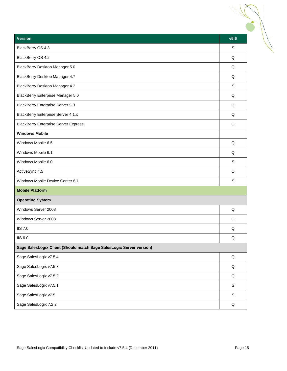| <b>Version</b>                                                       | v5.6        |
|----------------------------------------------------------------------|-------------|
| BlackBerry OS 4.3                                                    | S           |
| BlackBerry OS 4.2                                                    | Q           |
| BlackBerry Desktop Manager 5.0                                       | Q           |
| BlackBerry Desktop Manager 4.7                                       | Q           |
| BlackBerry Desktop Manager 4.2                                       | S           |
| BlackBerry Enterprise Manager 5.0                                    | Q           |
| <b>BlackBerry Enterprise Server 5.0</b>                              | Q           |
| <b>BlackBerry Enterprise Server 4.1.x</b>                            | Q           |
| <b>BlackBerry Enterprise Server Express</b>                          | Q           |
| <b>Windows Mobile</b>                                                |             |
| Windows Mobile 6.5                                                   | Q           |
| Windows Mobile 6.1                                                   | Q           |
| Windows Mobile 6.0                                                   | S           |
| ActiveSync 4.5                                                       | Q           |
| Windows Mobile Device Center 6.1                                     | S           |
| <b>Mobile Platform</b>                                               |             |
| <b>Operating System</b>                                              |             |
| Windows Server 2008                                                  | Q           |
| Windows Server 2003                                                  | Q           |
| <b>IIS 7.0</b>                                                       | Q           |
| <b>IIS 6.0</b>                                                       | Q           |
| Sage SalesLogix Client (Should match Sage SalesLogix Server version) |             |
| Sage SalesLogix v7.5.4                                               | Q           |
| Sage SalesLogix v7.5.3                                               | Q           |
| Sage SalesLogix v7.5.2                                               | Q           |
| Sage SalesLogix v7.5.1                                               | $\mathsf S$ |
| Sage SalesLogix v7.5                                                 | $\mathbb S$ |
| Sage SalesLogix 7.2.2                                                | Q           |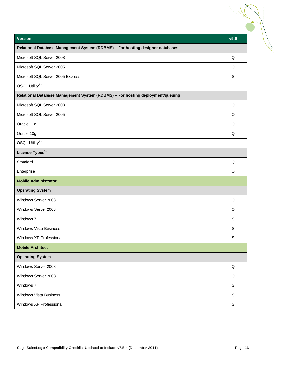| Relational Database Management System (RDBMS) - For hosting designer databases<br>Q<br>Q<br>S<br>Relational Database Management System (RDBMS) - For hosting deployment/queuing<br>Q<br>Q<br>Q<br>Q<br>Q<br>Q<br>Q<br>Q<br>$\mathsf S$<br>S<br>S<br>Q<br>Q<br>S<br>$\mathbb S$<br>S | <b>Version</b>                    | v5.6 |
|-------------------------------------------------------------------------------------------------------------------------------------------------------------------------------------------------------------------------------------------------------------------------------------|-----------------------------------|------|
|                                                                                                                                                                                                                                                                                     |                                   |      |
|                                                                                                                                                                                                                                                                                     | Microsoft SQL Server 2008         |      |
|                                                                                                                                                                                                                                                                                     | Microsoft SQL Server 2005         |      |
|                                                                                                                                                                                                                                                                                     | Microsoft SQL Server 2005 Express |      |
|                                                                                                                                                                                                                                                                                     | OSQL Utility <sup>12</sup>        |      |
|                                                                                                                                                                                                                                                                                     |                                   |      |
|                                                                                                                                                                                                                                                                                     | Microsoft SQL Server 2008         |      |
|                                                                                                                                                                                                                                                                                     | Microsoft SQL Server 2005         |      |
|                                                                                                                                                                                                                                                                                     | Oracle 11g                        |      |
|                                                                                                                                                                                                                                                                                     | Oracle 10g                        |      |
|                                                                                                                                                                                                                                                                                     | OSQL Utility <sup>12</sup>        |      |
|                                                                                                                                                                                                                                                                                     | License Types <sup>13</sup>       |      |
|                                                                                                                                                                                                                                                                                     | Standard                          |      |
|                                                                                                                                                                                                                                                                                     | Enterprise                        |      |
|                                                                                                                                                                                                                                                                                     | <b>Mobile Administrator</b>       |      |
|                                                                                                                                                                                                                                                                                     | <b>Operating System</b>           |      |
|                                                                                                                                                                                                                                                                                     | Windows Server 2008               |      |
|                                                                                                                                                                                                                                                                                     | Windows Server 2003               |      |
|                                                                                                                                                                                                                                                                                     | Windows 7                         |      |
|                                                                                                                                                                                                                                                                                     | <b>Windows Vista Business</b>     |      |
|                                                                                                                                                                                                                                                                                     | Windows XP Professional           |      |
|                                                                                                                                                                                                                                                                                     | <b>Mobile Architect</b>           |      |
|                                                                                                                                                                                                                                                                                     | <b>Operating System</b>           |      |
|                                                                                                                                                                                                                                                                                     | Windows Server 2008               |      |
|                                                                                                                                                                                                                                                                                     | Windows Server 2003               |      |
|                                                                                                                                                                                                                                                                                     | Windows 7                         |      |
|                                                                                                                                                                                                                                                                                     | <b>Windows Vista Business</b>     |      |
|                                                                                                                                                                                                                                                                                     | Windows XP Professional           |      |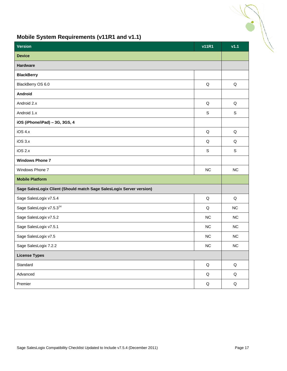## <span id="page-16-0"></span>**Mobile System Requirements (v11R1 and v1.1)**

<span id="page-16-1"></span>

| <b>Version</b>                                                       | <b>v11R1</b> | v1.1        |
|----------------------------------------------------------------------|--------------|-------------|
| <b>Device</b>                                                        |              |             |
| Hardware                                                             |              |             |
| <b>BlackBerry</b>                                                    |              |             |
| BlackBerry OS 6.0                                                    | Q            | Q           |
| <b>Android</b>                                                       |              |             |
| Android 2.x                                                          | Q            | Q           |
| Android 1.x                                                          | $\mathsf S$  | S           |
| iOS (iPhone/iPad) - 3G, 3GS, 4                                       |              |             |
| iOS 4.x                                                              | $\mathsf Q$  | Q           |
| iOS 3.x                                                              | Q            | Q           |
| iOS 2.x                                                              | $\mathsf S$  | $\mathsf S$ |
| <b>Windows Phone 7</b>                                               |              |             |
| Windows Phone 7                                                      | NC           | <b>NC</b>   |
| <b>Mobile Platform</b>                                               |              |             |
| Sage SalesLogix Client (Should match Sage SalesLogix Server version) |              |             |
| Sage SalesLogix v7.5.4                                               | Q            | Q           |
| Sage SalesLogix v7.5.3 <sup>14</sup>                                 | Q            | <b>NC</b>   |
| Sage SalesLogix v7.5.2                                               | NC           | NC          |
| Sage SalesLogix v7.5.1                                               | NC           | NC          |
| Sage SalesLogix v7.5                                                 | NC           | <b>NC</b>   |
| Sage SalesLogix 7.2.2                                                | NC           | <b>NC</b>   |
| <b>License Types</b>                                                 |              |             |
| Standard                                                             | $\mathsf Q$  | $\mathsf Q$ |
| Advanced                                                             | $\sf Q$      | $\mathsf Q$ |
| Premier                                                              | Q            | $\sf Q$     |